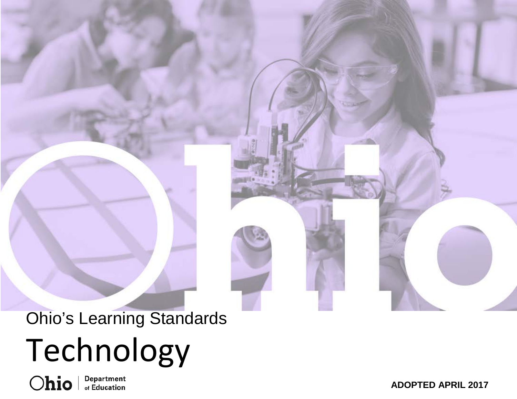# Ohio's Learning Standards Technology

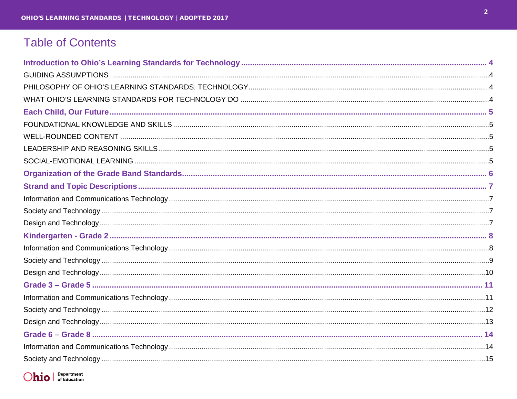# **Table of Contents**

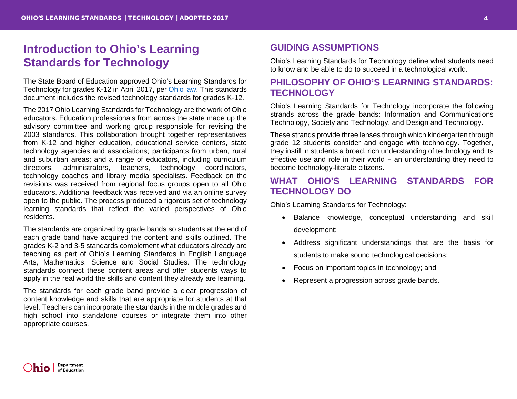# <span id="page-3-0"></span>**Introduction to Ohio's Learning Standards for Technology**

The State Board of Education approved Ohio's Learning Standards for Technology for grades K-12 in April 2017, per [Ohio law.](http://codes.ohio.gov/orc/3301.079) This standards document includes the revised technology standards for grades K-12.

The 2017 Ohio Learning Standards for Technology are the work of Ohio educators. Education professionals from across the state made up the advisory committee and working group responsible for revising the 2003 standards. This collaboration brought together representatives from K-12 and higher education, educational service centers, state technology agencies and associations; participants from urban, rural and suburban areas; and a range of educators, including curriculum directors, administrators, teachers, technology coordinators, technology coaches and library media specialists. Feedback on the revisions was received from regional focus groups open to all Ohio educators. Additional feedback was received and via an online survey open to the public. The process produced a rigorous set of technology learning standards that reflect the varied perspectives of Ohio residents.

The standards are organized by grade bands so students at the end of each grade band have acquired the content and skills outlined. The grades K-2 and 3-5 standards complement what educators already are teaching as part of Ohio's Learning Standards in English Language Arts, Mathematics, Science and Social Studies. The technology standards connect these content areas and offer students ways to apply in the real world the skills and content they already are learning.

The standards for each grade band provide a clear progression of content knowledge and skills that are appropriate for students at that level. Teachers can incorporate the standards in the middle grades and high school into standalone courses or integrate them into other appropriate courses.

## <span id="page-3-1"></span>**GUIDING ASSUMPTIONS**

Ohio's Learning Standards for Technology define what students need to know and be able to do to succeed in a technological world.

## <span id="page-3-2"></span>**PHILOSOPHY OF OHIO'S LEARNING STANDARDS: TECHNOLOGY**

Ohio's Learning Standards for Technology incorporate the following strands across the grade bands: Information and Communications Technology, Society and Technology, and Design and Technology.

These strands provide three lenses through which kindergarten through grade 12 students consider and engage with technology. Together, they instill in students a broad, rich understanding of technology and its effective use and role in their world − an understanding they need to become technology-literate citizens.

## <span id="page-3-3"></span>**WHAT OHIO'S LEARNING STANDARDS FOR TECHNOLOGY DO**

Ohio's Learning Standards for Technology:

- Balance knowledge, conceptual understanding and skill development;
- Address significant understandings that are the basis for students to make sound technological decisions;
- Focus on important topics in technology; and
- Represent a progression across grade bands.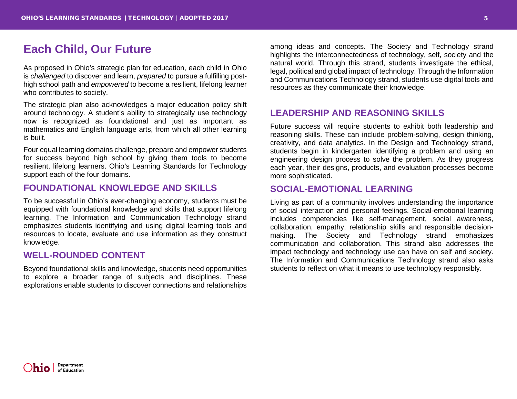## <span id="page-4-0"></span>**Each Child, Our Future**

As proposed in Ohio's strategic plan for education, each child in Ohio is *challenged* to discover and learn, *prepared* to pursue a fulfilling posthigh school path and *empowered* to become a resilient, lifelong learner who contributes to society.

The strategic plan also acknowledges a major education policy shift around technology. A student's ability to strategically use technology now is recognized as foundational and just as important as mathematics and English language arts, from which all other learning is built.

Four equal learning domains challenge, prepare and empower students for success beyond high school by giving them tools to become resilient, lifelong learners. Ohio's Learning Standards for Technology support each of the four domains.

## <span id="page-4-1"></span>**FOUNDATIONAL KNOWLEDGE AND SKILLS**

To be successful in Ohio's ever-changing economy, students must be equipped with foundational knowledge and skills that support lifelong learning. The Information and Communication Technology strand emphasizes students identifying and using digital learning tools and resources to locate, evaluate and use information as they construct knowledge.

#### <span id="page-4-2"></span>**WELL-ROUNDED CONTENT**

Beyond foundational skills and knowledge, students need opportunities to explore a broader range of subjects and disciplines. These explorations enable students to discover connections and relationships

among ideas and concepts. The Society and Technology strand highlights the interconnectedness of technology, self, society and the natural world. Through this strand, students investigate the ethical, legal, political and global impact of technology. Through the Information and Communications Technology strand, students use digital tools and resources as they communicate their knowledge.

## <span id="page-4-3"></span>**LEADERSHIP AND REASONING SKILLS**

Future success will require students to exhibit both leadership and reasoning skills. These can include problem-solving, design thinking, creativity, and data analytics. In the Design and Technology strand, students begin in kindergarten identifying a problem and using an engineering design process to solve the problem. As they progress each year, their designs, products, and evaluation processes become more sophisticated.

## <span id="page-4-4"></span>**SOCIAL-EMOTIONAL LEARNING**

Living as part of a community involves understanding the importance of social interaction and personal feelings. Social-emotional learning includes competencies like self-management, social awareness, collaboration, empathy, relationship skills and responsible decisionmaking. The Society and Technology strand emphasizes communication and collaboration. This strand also addresses the impact technology and technology use can have on self and society. The Information and Communications Technology strand also asks students to reflect on what it means to use technology responsibly.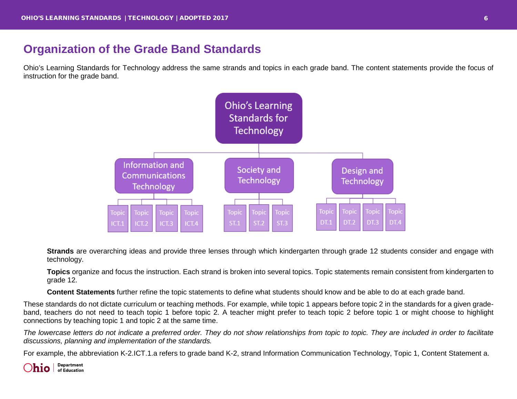# <span id="page-5-0"></span>**Organization of the Grade Band Standards**

Ohio's Learning Standards for Technology address the same strands and topics in each grade band. The content statements provide the focus of instruction for the grade band.



**Strands** are overarching ideas and provide three lenses through which kindergarten through grade 12 students consider and engage with technology.

**Topics** organize and focus the instruction. Each strand is broken into several topics. Topic statements remain consistent from kindergarten to grade 12.

**Content Statements** further refine the topic statements to define what students should know and be able to do at each grade band.

These standards do not dictate curriculum or teaching methods. For example, while topic 1 appears before topic 2 in the standards for a given gradeband, teachers do not need to teach topic 1 before topic 2. A teacher might prefer to teach topic 2 before topic 1 or might choose to highlight connections by teaching topic 1 and topic 2 at the same time.

*The lowercase letters do not indicate a preferred order. They do not show relationships from topic to topic. They are included in order to facilitate discussions, planning and implementation of the standards.*

For example, the abbreviation K-2.ICT.1.a refers to grade band K-2, strand Information Communication Technology, Topic 1, Content Statement a.

Department  $D$ hio  $\int_{\text{of Education}}^{\text{Department}}$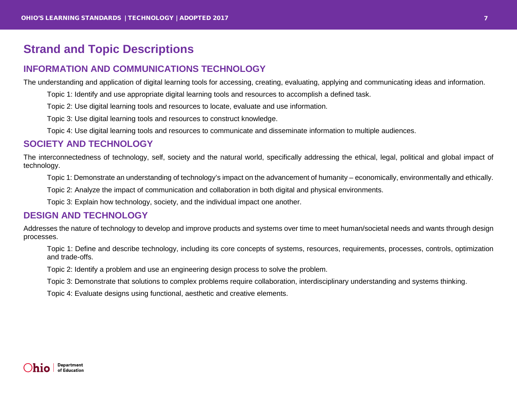# <span id="page-6-0"></span>**Strand and Topic Descriptions**

## <span id="page-6-1"></span>**INFORMATION AND COMMUNICATIONS TECHNOLOGY**

The understanding and application of digital learning tools for accessing, creating, evaluating, applying and communicating ideas and information.

Topic 1: Identify and use appropriate digital learning tools and resources to accomplish a defined task.

Topic 2: Use digital learning tools and resources to locate, evaluate and use information.

Topic 3: Use digital learning tools and resources to construct knowledge.

Topic 4: Use digital learning tools and resources to communicate and disseminate information to multiple audiences.

#### <span id="page-6-2"></span>**SOCIETY AND TECHNOLOGY**

The interconnectedness of technology, self, society and the natural world, specifically addressing the ethical, legal, political and global impact of technology.

Topic 1: Demonstrate an understanding of technology's impact on the advancement of humanity – economically, environmentally and ethically.

Topic 2: Analyze the impact of communication and collaboration in both digital and physical environments.

Topic 3: Explain how technology, society, and the individual impact one another.

#### <span id="page-6-3"></span>**DESIGN AND TECHNOLOGY**

Addresses the nature of technology to develop and improve products and systems over time to meet human/societal needs and wants through design processes.

Topic 1: Define and describe technology, including its core concepts of systems, resources, requirements, processes, controls, optimization and trade-offs.

Topic 2: Identify a problem and use an engineering design process to solve the problem.

Topic 3: Demonstrate that solutions to complex problems require collaboration, interdisciplinary understanding and systems thinking.

Topic 4: Evaluate designs using functional, aesthetic and creative elements.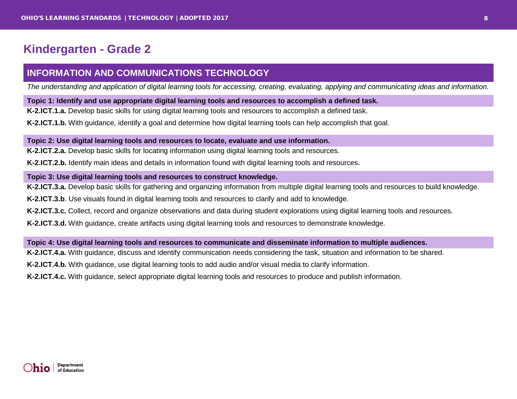# <span id="page-7-0"></span>**Kindergarten - Grade 2**

## <span id="page-7-1"></span>**INFORMATION AND COMMUNICATIONS TECHNOLOGY**

*The understanding and application of digital learning tools for accessing, creating, evaluating, applying and communicating ideas and information.*

#### **Topic 1: Identify and use appropriate digital learning tools and resources to accomplish a defined task.**

**K-2.ICT.1.a.** Develop basic skills for using digital learning tools and resources to accomplish a defined task.

**K-2.ICT.1.b.** With guidance, identify a goal and determine how digital learning tools can help accomplish that goal.

#### **Topic 2: Use digital learning tools and resources to locate, evaluate and use information.**

**K-2.ICT.2.a.** Develop basic skills for locating information using digital learning tools and resources.

**K-2.ICT.2.b.** Identify main ideas and details in information found with digital learning tools and resources.

#### **Topic 3: Use digital learning tools and resources to construct knowledge.**

**K-2.ICT.3.a.** Develop basic skills for gathering and organizing information from multiple digital learning tools and resources to build knowledge.

**K-2.ICT.3.b**. Use visuals found in digital learning tools and resources to clarify and add to knowledge.

**K-2.ICT.3.c.** Collect, record and organize observations and data during student explorations using digital learning tools and resources.

**K-2.ICT.3.d.** With guidance, create artifacts using digital learning tools and resources to demonstrate knowledge.

#### **Topic 4: Use digital learning tools and resources to communicate and disseminate information to multiple audiences.**

**K-2.ICT.4.a.** With guidance, discuss and identify communication needs considering the task, situation and information to be shared.

**K-2.ICT.4.b.** With guidance, use digital learning tools to add audio and/or visual media to clarify information.

**K-2.ICT.4.c.** With guidance, select appropriate digital learning tools and resources to produce and publish information.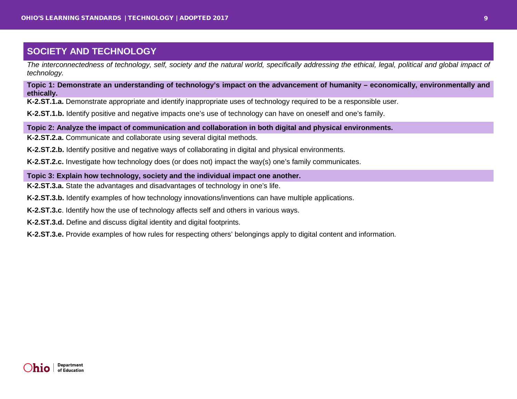<span id="page-8-0"></span>*The interconnectedness of technology, self, society and the natural world, specifically addressing the ethical, legal, political and global impact of technology.*

**Topic 1: Demonstrate an understanding of technology's impact on the advancement of humanity – economically, environmentally and ethically.**

**K-2.ST.1.a.** Demonstrate appropriate and identify inappropriate uses of technology required to be a responsible user.

**K-2.ST.1.b.** Identify positive and negative impacts one's use of technology can have on oneself and one's family.

**Topic 2: Analyze the impact of communication and collaboration in both digital and physical environments.**

**K-2.ST.2.a.** Communicate and collaborate using several digital methods.

**K-2.ST.2.b.** Identify positive and negative ways of collaborating in digital and physical environments.

**K-2.ST.2.c.** Investigate how technology does (or does not) impact the way(s) one's family communicates.

#### **Topic 3: Explain how technology, society and the individual impact one another.**

**K-2.ST.3.a.** State the advantages and disadvantages of technology in one's life.

**K-2.ST.3.b.** Identify examples of how technology innovations/inventions can have multiple applications.

**K-2.ST.3.c**. Identify how the use of technology affects self and others in various ways.

**K-2.ST.3.d.** Define and discuss digital identity and digital footprints.

**K-2.ST.3.e.** Provide examples of how rules for respecting others' belongings apply to digital content and information.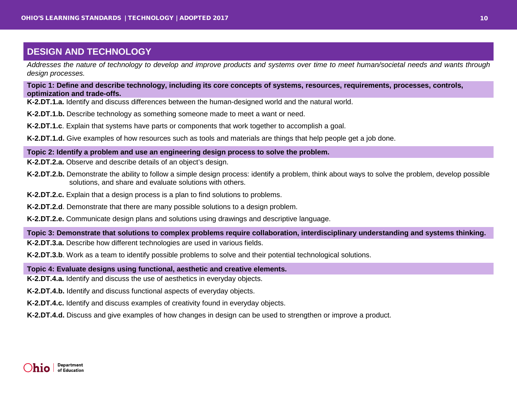<span id="page-9-0"></span>*Addresses the nature of technology to develop and improve products and systems over time to meet human/societal needs and wants through design processes.*

**Topic 1: Define and describe technology, including its core concepts of systems, resources, requirements, processes, controls, optimization and trade-offs.**

**K-2.DT.1.a.** Identify and discuss differences between the human-designed world and the natural world.

**K-2.DT.1.b.** Describe technology as something someone made to meet a want or need.

**K-2.DT.1.c**. Explain that systems have parts or components that work together to accomplish a goal.

**K-2.DT.1.d.** Give examples of how resources such as tools and materials are things that help people get a job done.

#### **Topic 2: Identify a problem and use an engineering design process to solve the problem.**

**K-2.DT.2.a.** Observe and describe details of an object's design.

- **K-2.DT.2.b.** Demonstrate the ability to follow a simple design process: identify a problem, think about ways to solve the problem, develop possible solutions, and share and evaluate solutions with others.
- **K-2.DT.2.c.** Explain that a design process is a plan to find solutions to problems.
- **K-2.DT.2.d**. Demonstrate that there are many possible solutions to a design problem.

**K-2.DT.2.e.** Communicate design plans and solutions using drawings and descriptive language.

**Topic 3: Demonstrate that solutions to complex problems require collaboration, interdisciplinary understanding and systems thinking.**

**K-2.DT.3.a.** Describe how different technologies are used in various fields.

**K-2.DT.3.b**. Work as a team to identify possible problems to solve and their potential technological solutions.

**Topic 4: Evaluate designs using functional, aesthetic and creative elements.**

**K-2.DT.4.a.** Identify and discuss the use of aesthetics in everyday objects.

**K-2.DT.4.b.** Identify and discuss functional aspects of everyday objects.

**K-2.DT.4.c.** Identify and discuss examples of creativity found in everyday objects.

**K-2.DT.4.d.** Discuss and give examples of how changes in design can be used to strengthen or improve a product.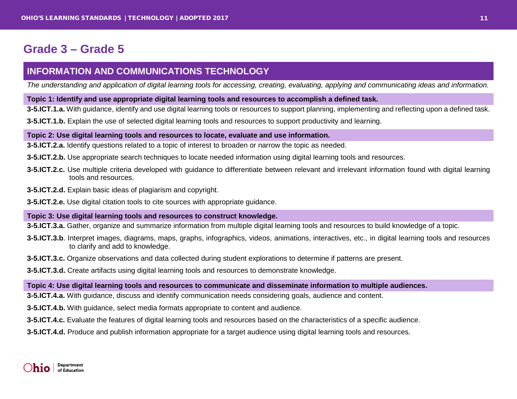# <span id="page-10-0"></span>**Grade 3 – Grade 5**

## <span id="page-10-1"></span>**INFORMATION AND COMMUNICATIONS TECHNOLOGY**

*The understanding and application of digital learning tools for accessing, creating, evaluating, applying and communicating ideas and information.*

#### **Topic 1: Identify and use appropriate digital learning tools and resources to accomplish a defined task.**

**3-5.ICT.1.a.** With guidance, identify and use digital learning tools or resources to support planning, implementing and reflecting upon a defined task.

**3-5.ICT.1.b.** Explain the use of selected digital learning tools and resources to support productivity and learning.

#### **Topic 2: Use digital learning tools and resources to locate, evaluate and use information.**

**3-5.ICT.2.a.** Identify questions related to a topic of interest to broaden or narrow the topic as needed.

- **3-5.ICT.2.b.** Use appropriate search techniques to locate needed information using digital learning tools and resources.
- **3-5.ICT.2.c.** Use multiple criteria developed with guidance to differentiate between relevant and irrelevant information found with digital learning tools and resources.
- **3-5.ICT.2.d.** Explain basic ideas of plagiarism and copyright.
- **3-5.ICT.2.e.** Use digital citation tools to cite sources with appropriate guidance.

#### **Topic 3: Use digital learning tools and resources to construct knowledge.**

**3-5.ICT.3.a.** Gather, organize and summarize information from multiple digital learning tools and resources to build knowledge of a topic.

- **3-5.ICT.3.b**. Interpret images, diagrams, maps, graphs, infographics, videos, animations, interactives, etc., in digital learning tools and resources to clarify and add to knowledge.
- **3-5.ICT.3.c.** Organize observations and data collected during student explorations to determine if patterns are present.
- **3-5.ICT.3.d.** Create artifacts using digital learning tools and resources to demonstrate knowledge.

#### **Topic 4: Use digital learning tools and resources to communicate and disseminate information to multiple audiences.**

**3-5.ICT.4.a.** With guidance, discuss and identify communication needs considering goals, audience and content.

**3-5.ICT.4.b.** With guidance, select media formats appropriate to content and audience.

**3-5.ICT.4.c.** Evaluate the features of digital learning tools and resources based on the characteristics of a specific audience.

**3-5.ICT.4.d.** Produce and publish information appropriate for a target audience using digital learning tools and resources.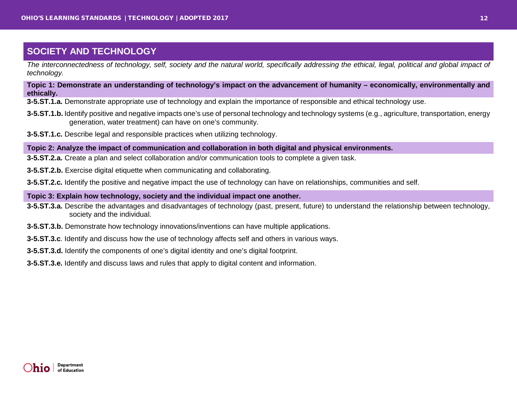<span id="page-11-0"></span>*The interconnectedness of technology, self, society and the natural world, specifically addressing the ethical, legal, political and global impact of technology.*

**Topic 1: Demonstrate an understanding of technology's impact on the advancement of humanity – economically, environmentally and ethically.**

**3-5.ST.1.a.** Demonstrate appropriate use of technology and explain the importance of responsible and ethical technology use.

- **3-5.ST.1.b.** Identify positive and negative impacts one's use of personal technology and technology systems (e.g., agriculture, transportation, energy generation, water treatment) can have on one's community.
- **3-5.ST.1.c.** Describe legal and responsible practices when utilizing technology.

**Topic 2: Analyze the impact of communication and collaboration in both digital and physical environments.**

**3-5.ST.2.a.** Create a plan and select collaboration and/or communication tools to complete a given task.

**3-5.ST.2.b.** Exercise digital etiquette when communicating and collaborating.

**3-5.ST.2.c.** Identify the positive and negative impact the use of technology can have on relationships, communities and self.

#### **Topic 3: Explain how technology, society and the individual impact one another.**

- **3-5.ST.3.a.** Describe the advantages and disadvantages of technology (past, present, future) to understand the relationship between technology, society and the individual.
- **3-5.ST.3.b.** Demonstrate how technology innovations/inventions can have multiple applications.
- **3-5.ST.3.c**. Identify and discuss how the use of technology affects self and others in various ways.
- **3-5.ST.3.d.** Identify the components of one's digital identity and one's digital footprint.

**3-5.ST.3.e.** Identify and discuss laws and rules that apply to digital content and information.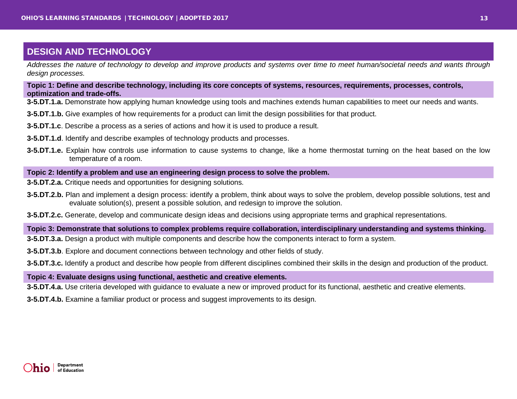<span id="page-12-0"></span>*Addresses the nature of technology to develop and improve products and systems over time to meet human/societal needs and wants through design processes.*

**Topic 1: Define and describe technology, including its core concepts of systems, resources, requirements, processes, controls, optimization and trade-offs.**

**3-5.DT.1.a.** Demonstrate how applying human knowledge using tools and machines extends human capabilities to meet our needs and wants.

- **3-5.DT.1.b.** Give examples of how requirements for a product can limit the design possibilities for that product.
- **3-5.DT.1.c**. Describe a process as a series of actions and how it is used to produce a result.
- **3-5.DT.1.d**. Identify and describe examples of technology products and processes.
- **3-5.DT.1.e.** Explain how controls use information to cause systems to change, like a home thermostat turning on the heat based on the low temperature of a room.

#### **Topic 2: Identify a problem and use an engineering design process to solve the problem.**

- **3-5.DT.2.a.** Critique needs and opportunities for designing solutions.
- **3-5.DT.2.b.** Plan and implement a design process: identify a problem, think about ways to solve the problem, develop possible solutions, test and evaluate solution(s), present a possible solution, and redesign to improve the solution.

**3-5.DT.2.c.** Generate, develop and communicate design ideas and decisions using appropriate terms and graphical representations.

**Topic 3: Demonstrate that solutions to complex problems require collaboration, interdisciplinary understanding and systems thinking.**

- **3-5.DT.3.a.** Design a product with multiple components and describe how the components interact to form a system.
- **3-5.DT.3.b**. Explore and document connections between technology and other fields of study.

**3-5.DT.3.c.** Identify a product and describe how people from different disciplines combined their skills in the design and production of the product.

#### **Topic 4: Evaluate designs using functional, aesthetic and creative elements.**

**3-5.DT.4.a.** Use criteria developed with guidance to evaluate a new or improved product for its functional, aesthetic and creative elements.

**3-5.DT.4.b.** Examine a familiar product or process and suggest improvements to its design.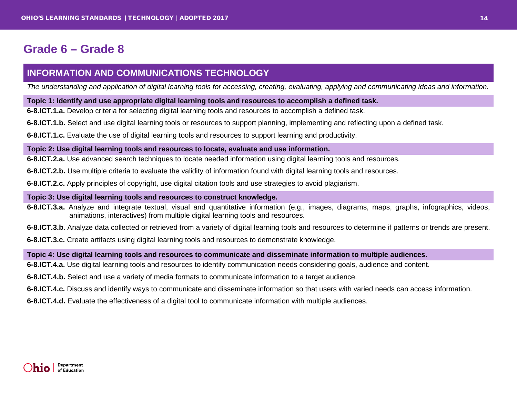# <span id="page-13-0"></span>**Grade 6 – Grade 8**

## <span id="page-13-1"></span>**INFORMATION AND COMMUNICATIONS TECHNOLOGY**

*The understanding and application of digital learning tools for accessing, creating, evaluating, applying and communicating ideas and information.*

#### **Topic 1: Identify and use appropriate digital learning tools and resources to accomplish a defined task.**

**6-8.ICT.1.a.** Develop criteria for selecting digital learning tools and resources to accomplish a defined task.

**6-8.ICT.1.b.** Select and use digital learning tools or resources to support planning, implementing and reflecting upon a defined task.

**6-8.ICT.1.c.** Evaluate the use of digital learning tools and resources to support learning and productivity.

#### **Topic 2: Use digital learning tools and resources to locate, evaluate and use information.**

**6-8.ICT.2.a.** Use advanced search techniques to locate needed information using digital learning tools and resources.

**6-8.ICT.2.b.** Use multiple criteria to evaluate the validity of information found with digital learning tools and resources.

**6-8.ICT.2.c.** Apply principles of copyright, use digital citation tools and use strategies to avoid plagiarism.

#### **Topic 3: Use digital learning tools and resources to construct knowledge.**

**6-8.ICT.3.a.** Analyze and integrate textual, visual and quantitative information (e.g., images, diagrams, maps, graphs, infographics, videos, animations, interactives) from multiple digital learning tools and resources.

**6-8.ICT.3.b**. Analyze data collected or retrieved from a variety of digital learning tools and resources to determine if patterns or trends are present.

**6-8.ICT.3.c.** Create artifacts using digital learning tools and resources to demonstrate knowledge.

**Topic 4: Use digital learning tools and resources to communicate and disseminate information to multiple audiences.**

**6-8.ICT.4.a.** Use digital learning tools and resources to identify communication needs considering goals, audience and content.

**6-8.ICT.4.b.** Select and use a variety of media formats to communicate information to a target audience.

**6-8.ICT.4.c.** Discuss and identify ways to communicate and disseminate information so that users with varied needs can access information.

**6-8.ICT.4.d.** Evaluate the effectiveness of a digital tool to communicate information with multiple audiences.

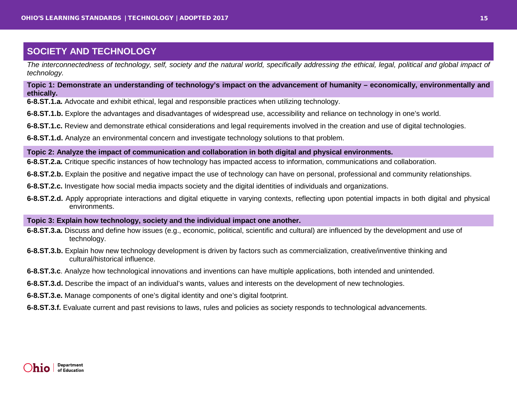<span id="page-14-0"></span>*The interconnectedness of technology, self, society and the natural world, specifically addressing the ethical, legal, political and global impact of technology.*

**Topic 1: Demonstrate an understanding of technology's impact on the advancement of humanity – economically, environmentally and ethically.**

**6-8.ST.1.a.** Advocate and exhibit ethical, legal and responsible practices when utilizing technology.

**6-8.ST.1.b.** Explore the advantages and disadvantages of widespread use, accessibility and reliance on technology in one's world.

**6-8.ST.1.c.** Review and demonstrate ethical considerations and legal requirements involved in the creation and use of digital technologies.

**6-8.ST.1.d.** Analyze an environmental concern and investigate technology solutions to that problem.

**Topic 2: Analyze the impact of communication and collaboration in both digital and physical environments.**

**6-8.ST.2.a.** Critique specific instances of how technology has impacted access to information, communications and collaboration.

**6-8.ST.2.b.** Explain the positive and negative impact the use of technology can have on personal, professional and community relationships.

**6-8.ST.2.c.** Investigate how social media impacts society and the digital identities of individuals and organizations.

**6-8.ST.2.d.** Apply appropriate interactions and digital etiquette in varying contexts, reflecting upon potential impacts in both digital and physical environments.

**Topic 3: Explain how technology, society and the individual impact one another.**

- **6-8.ST.3.a.** Discuss and define how issues (e.g., economic, political, scientific and cultural) are influenced by the development and use of technology.
- **6-8.ST.3.b.** Explain how new technology development is driven by factors such as commercialization, creative/inventive thinking and cultural/historical influence.
- **6-8.ST.3.c**. Analyze how technological innovations and inventions can have multiple applications, both intended and unintended.

**6-8.ST.3.d.** Describe the impact of an individual's wants, values and interests on the development of new technologies.

**6-8.ST.3.e.** Manage components of one's digital identity and one's digital footprint.

**6-8.ST.3.f.** Evaluate current and past revisions to laws, rules and policies as society responds to technological advancements.

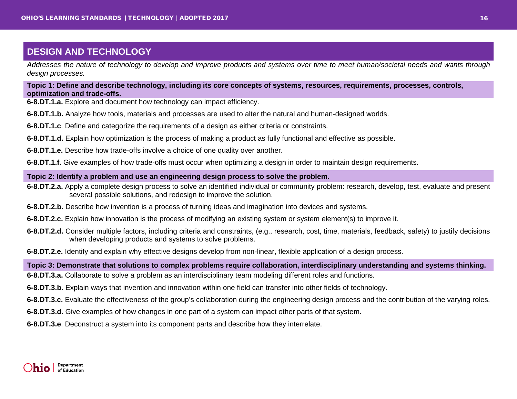<span id="page-15-0"></span>*Addresses the nature of technology to develop and improve products and systems over time to meet human/societal needs and wants through design processes.*

**Topic 1: Define and describe technology, including its core concepts of systems, resources, requirements, processes, controls, optimization and trade-offs.**

- **6-8.DT.1.a.** Explore and document how technology can impact efficiency.
- **6-8.DT.1.b.** Analyze how tools, materials and processes are used to alter the natural and human-designed worlds.
- **6-8.DT.1.c**. Define and categorize the requirements of a design as either criteria or constraints.
- **6-8.DT.1.d.** Explain how optimization is the process of making a product as fully functional and effective as possible.
- **6-8.DT.1.e.** Describe how trade-offs involve a choice of one quality over another.
- **6-8.DT.1.f.** Give examples of how trade-offs must occur when optimizing a design in order to maintain design requirements.

#### **Topic 2: Identify a problem and use an engineering design process to solve the problem.**

- **6-8.DT.2.a.** Apply a complete design process to solve an identified individual or community problem: research, develop, test, evaluate and present several possible solutions, and redesign to improve the solution.
- **6-8.DT.2.b.** Describe how invention is a process of turning ideas and imagination into devices and systems.
- **6-8.DT.2.c.** Explain how innovation is the process of modifying an existing system or system element(s) to improve it.
- **6-8.DT.2.d.** Consider multiple factors, including criteria and constraints, (e.g., research, cost, time, materials, feedback, safety) to justify decisions when developing products and systems to solve problems.
- **6-8.DT.2.e.** Identify and explain why effective designs develop from non-linear, flexible application of a design process.

#### **Topic 3: Demonstrate that solutions to complex problems require collaboration, interdisciplinary understanding and systems thinking.**

- **6-8.DT.3.a.** Collaborate to solve a problem as an interdisciplinary team modeling different roles and functions.
- **6-8.DT.3.b**. Explain ways that invention and innovation within one field can transfer into other fields of technology.
- **6-8.DT.3.c.** Evaluate the effectiveness of the group's collaboration during the engineering design process and the contribution of the varying roles.
- **6-8.DT.3.d.** Give examples of how changes in one part of a system can impact other parts of that system.
- **6-8.DT.3.e**. Deconstruct a system into its component parts and describe how they interrelate.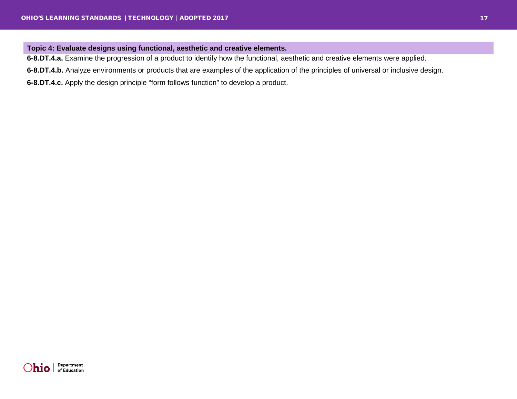#### **Topic 4: Evaluate designs using functional, aesthetic and creative elements.**

**6-8.DT.4.a.** Examine the progression of a product to identify how the functional, aesthetic and creative elements were applied.

**6-8.DT.4.b.** Analyze environments or products that are examples of the application of the principles of universal or inclusive design.

**6-8.DT.4.c.** Apply the design principle "form follows function" to develop a product.

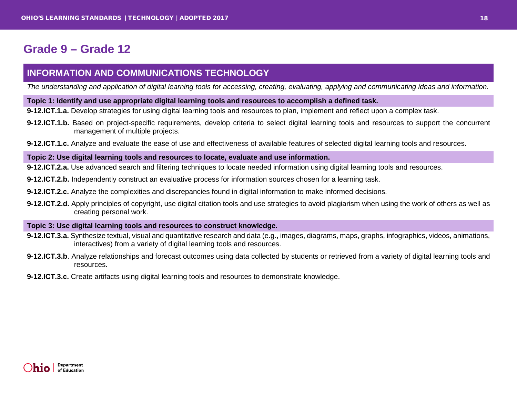# <span id="page-17-0"></span>**Grade 9 – Grade 12**

## <span id="page-17-1"></span>**INFORMATION AND COMMUNICATIONS TECHNOLOGY**

*The understanding and application of digital learning tools for accessing, creating, evaluating, applying and communicating ideas and information.*

#### **Topic 1: Identify and use appropriate digital learning tools and resources to accomplish a defined task.**

**9-12.ICT.1.a.** Develop strategies for using digital learning tools and resources to plan, implement and reflect upon a complex task.

- **9-12.ICT.1.b.** Based on project-specific requirements, develop criteria to select digital learning tools and resources to support the concurrent management of multiple projects.
- **9-12.ICT.1.c.** Analyze and evaluate the ease of use and effectiveness of available features of selected digital learning tools and resources.

#### **Topic 2: Use digital learning tools and resources to locate, evaluate and use information.**

**9-12.ICT.2.a.** Use advanced search and filtering techniques to locate needed information using digital learning tools and resources.

- **9-12.ICT.2.b.** Independently construct an evaluative process for information sources chosen for a learning task.
- **9-12.ICT.2.c.** Analyze the complexities and discrepancies found in digital information to make informed decisions.
- **9-12.ICT.2.d.** Apply principles of copyright, use digital citation tools and use strategies to avoid plagiarism when using the work of others as well as creating personal work.

#### **Topic 3: Use digital learning tools and resources to construct knowledge.**

- **9-12.ICT.3.a.** Synthesize textual, visual and quantitative research and data (e.g., images, diagrams, maps, graphs, infographics, videos, animations, interactives) from a variety of digital learning tools and resources.
- **9-12.ICT.3.b**. Analyze relationships and forecast outcomes using data collected by students or retrieved from a variety of digital learning tools and resources.
- **9-12.ICT.3.c.** Create artifacts using digital learning tools and resources to demonstrate knowledge.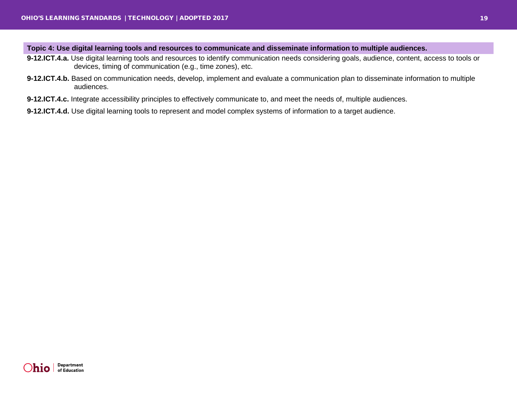#### **Topic 4: Use digital learning tools and resources to communicate and disseminate information to multiple audiences.**

- **9-12.ICT.4.a.** Use digital learning tools and resources to identify communication needs considering goals, audience, content, access to tools or devices, timing of communication (e.g., time zones), etc.
- **9-12.ICT.4.b.** Based on communication needs, develop, implement and evaluate a communication plan to disseminate information to multiple audiences.
- **9-12.ICT.4.c.** Integrate accessibility principles to effectively communicate to, and meet the needs of, multiple audiences.
- **9-12.ICT.4.d.** Use digital learning tools to represent and model complex systems of information to a target audience.

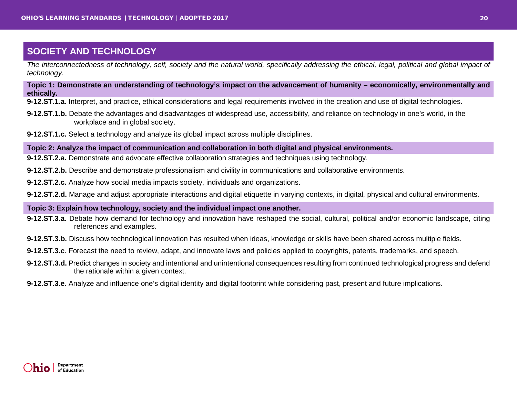<span id="page-19-0"></span>*The interconnectedness of technology, self, society and the natural world, specifically addressing the ethical, legal, political and global impact of technology.*

**Topic 1: Demonstrate an understanding of technology's impact on the advancement of humanity – economically, environmentally and ethically.**

**9-12.ST.1.a.** Interpret, and practice, ethical considerations and legal requirements involved in the creation and use of digital technologies.

- **9-12.ST.1.b.** Debate the advantages and disadvantages of widespread use, accessibility, and reliance on technology in one's world, in the workplace and in global society.
- **9-12.ST.1.c.** Select a technology and analyze its global impact across multiple disciplines.

**Topic 2: Analyze the impact of communication and collaboration in both digital and physical environments.**

**9-12.ST.2.a.** Demonstrate and advocate effective collaboration strategies and techniques using technology.

**9-12.ST.2.b.** Describe and demonstrate professionalism and civility in communications and collaborative environments.

**9-12.ST.2.c.** Analyze how social media impacts society, individuals and organizations.

**9-12.ST.2.d.** Manage and adjust appropriate interactions and digital etiquette in varying contexts, in digital, physical and cultural environments.

#### **Topic 3: Explain how technology, society and the individual impact one another.**

- **9-12.ST.3.a.** Debate how demand for technology and innovation have reshaped the social, cultural, political and/or economic landscape, citing references and examples.
- **9-12.ST.3.b.** Discuss how technological innovation has resulted when ideas, knowledge or skills have been shared across multiple fields.
- **9-12.ST.3.c**. Forecast the need to review, adapt, and innovate laws and policies applied to copyrights, patents, trademarks, and speech.
- **9-12.ST.3.d.** Predict changes in society and intentional and unintentional consequences resulting from continued technological progress and defend the rationale within a given context.
- **9-12.ST.3.e.** Analyze and influence one's digital identity and digital footprint while considering past, present and future implications.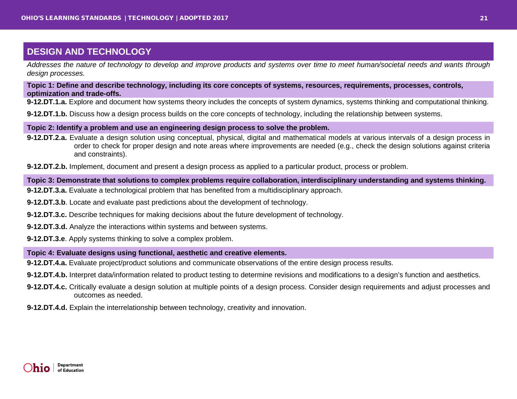<span id="page-20-0"></span>*Addresses the nature of technology to develop and improve products and systems over time to meet human/societal needs and wants through design processes.*

#### **Topic 1: Define and describe technology, including its core concepts of systems, resources, requirements, processes, controls, optimization and trade-offs.**

**9-12.DT.1.a.** Explore and document how systems theory includes the concepts of system dynamics, systems thinking and computational thinking.

**9-12.DT.1.b.** Discuss how a design process builds on the core concepts of technology, including the relationship between systems.

#### **Topic 2: Identify a problem and use an engineering design process to solve the problem.**

**9-12.DT.2.a.** Evaluate a design solution using conceptual, physical, digital and mathematical models at various intervals of a design process in order to check for proper design and note areas where improvements are needed (e.g., check the design solutions against criteria and constraints).

**9-12.DT.2.b.** Implement, document and present a design process as applied to a particular product, process or problem.

#### **Topic 3: Demonstrate that solutions to complex problems require collaboration, interdisciplinary understanding and systems thinking.**

- **9-12.DT.3.a.** Evaluate a technological problem that has benefited from a multidisciplinary approach.
- **9-12.DT.3.b**. Locate and evaluate past predictions about the development of technology.
- **9-12.DT.3.c.** Describe techniques for making decisions about the future development of technology.
- **9-12.DT.3.d.** Analyze the interactions within systems and between systems.
- **9-12.DT.3.e**. Apply systems thinking to solve a complex problem.

#### **Topic 4: Evaluate designs using functional, aesthetic and creative elements.**

**9-12.DT.4.a.** Evaluate project/product solutions and communicate observations of the entire design process results.

- **9-12.DT.4.b.** Interpret data/information related to product testing to determine revisions and modifications to a design's function and aesthetics.
- **9-12.DT.4.c.** Critically evaluate a design solution at multiple points of a design process. Consider design requirements and adjust processes and outcomes as needed.
- **9-12.DT.4.d.** Explain the interrelationship between technology, creativity and innovation.

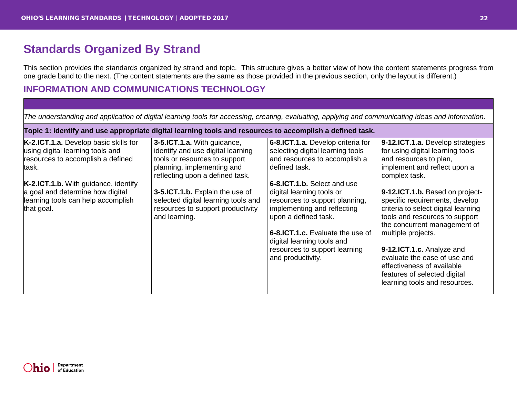# <span id="page-21-0"></span>**Standards Organized By Strand**

This section provides the standards organized by strand and topic. This structure gives a better view of how the content statements progress from one grade band to the next. (The content statements are the same as those provided in the previous section, only the layout is different.)

## <span id="page-21-1"></span>**INFORMATION AND COMMUNICATIONS TECHNOLOGY**

| The understanding and application of digital learning tools for accessing, creating, evaluating, applying and communicating ideas and information.                                                                                                             |                                                                                                                                                                                                                                                                                                    |                                                                                                                                                                                                                                                                                                                                                                                                      |                                                                                                                                                                                                                                                                                                                                                                                                                                                                                                                 |
|----------------------------------------------------------------------------------------------------------------------------------------------------------------------------------------------------------------------------------------------------------------|----------------------------------------------------------------------------------------------------------------------------------------------------------------------------------------------------------------------------------------------------------------------------------------------------|------------------------------------------------------------------------------------------------------------------------------------------------------------------------------------------------------------------------------------------------------------------------------------------------------------------------------------------------------------------------------------------------------|-----------------------------------------------------------------------------------------------------------------------------------------------------------------------------------------------------------------------------------------------------------------------------------------------------------------------------------------------------------------------------------------------------------------------------------------------------------------------------------------------------------------|
| Topic 1: Identify and use appropriate digital learning tools and resources to accomplish a defined task.                                                                                                                                                       |                                                                                                                                                                                                                                                                                                    |                                                                                                                                                                                                                                                                                                                                                                                                      |                                                                                                                                                                                                                                                                                                                                                                                                                                                                                                                 |
| K-2.ICT.1.a. Develop basic skills for<br>using digital learning tools and<br>resources to accomplish a defined<br>task.<br><b>K-2.ICT.1.b.</b> With guidance, identify<br>a goal and determine how digital<br>learning tools can help accomplish<br>that goal. | 3-5.ICT.1.a. With guidance,<br>identify and use digital learning<br>tools or resources to support<br>planning, implementing and<br>reflecting upon a defined task.<br>3-5.ICT.1.b. Explain the use of<br>selected digital learning tools and<br>resources to support productivity<br>and learning. | 6-8.ICT.1.a. Develop criteria for<br>selecting digital learning tools<br>and resources to accomplish a<br>defined task.<br>6-8.ICT.1.b. Select and use<br>digital learning tools or<br>resources to support planning,<br>implementing and reflecting<br>upon a defined task.<br>6-8.ICT.1.c. Evaluate the use of<br>digital learning tools and<br>resources to support learning<br>and productivity. | 9-12.ICT.1.a. Develop strategies<br>for using digital learning tools<br>and resources to plan,<br>implement and reflect upon a<br>complex task.<br>9-12.ICT.1.b. Based on project-<br>specific requirements, develop<br>criteria to select digital learning<br>tools and resources to support<br>the concurrent management of<br>multiple projects.<br>9-12.ICT.1.c. Analyze and<br>evaluate the ease of use and<br>effectiveness of available<br>features of selected digital<br>learning tools and resources. |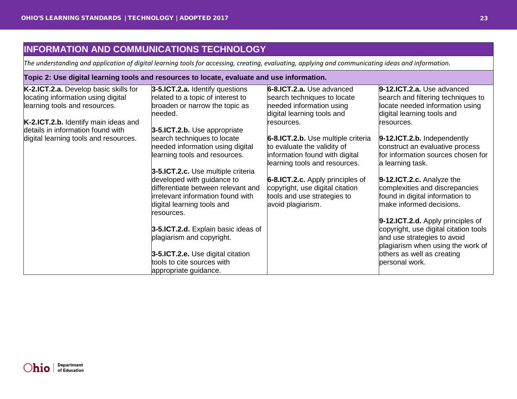## <span id="page-22-0"></span>**INFORMATION AND COMMUNICATIONS TECHNOLOGY**

*The understanding and application of digital learning tools for accessing, creating, evaluating, applying and communicating ideas and information.*

| Topic 2: Use digital learning tools and resources to locate, evaluate and use information. |                                     |                                         |                                       |  |
|--------------------------------------------------------------------------------------------|-------------------------------------|-----------------------------------------|---------------------------------------|--|
| K-2.ICT.2.a. Develop basic skills for                                                      | 3-5.ICT.2.a. Identify questions     | 6-8.ICT.2.a. Use advanced               | 9-12.ICT.2.a. Use advanced            |  |
| locating information using digital                                                         | related to a topic of interest to   | search techniques to locate             | search and filtering techniques to    |  |
| learning tools and resources.                                                              | broaden or narrow the topic as      | needed information using                | locate needed information using       |  |
|                                                                                            | needed.                             | digital learning tools and              | digital learning tools and            |  |
| K-2.ICT.2.b. Identify main ideas and                                                       |                                     | resources.                              | resources.                            |  |
| details in information found with                                                          | 3-5.ICT.2.b. Use appropriate        |                                         |                                       |  |
| digital learning tools and resources.                                                      | search techniques to locate         | 6-8.ICT.2.b. Use multiple criteria      | 9-12.ICT.2.b. Independently           |  |
|                                                                                            | needed information using digital    | to evaluate the validity of             | construct an evaluative process       |  |
|                                                                                            | learning tools and resources.       | information found with digital          | for information sources chosen for    |  |
|                                                                                            |                                     | learning tools and resources.           | a learning task.                      |  |
|                                                                                            | 3-5.ICT.2.c. Use multiple criteria  |                                         |                                       |  |
|                                                                                            | developed with guidance to          | <b>6-8.ICT.2.c.</b> Apply principles of | 9-12.ICT.2.c. Analyze the             |  |
|                                                                                            | differentiate between relevant and  | copyright, use digital citation         | complexities and discrepancies        |  |
|                                                                                            | irrelevant information found with   | tools and use strategies to             | found in digital information to       |  |
|                                                                                            | digital learning tools and          | avoid plagiarism.                       | make informed decisions.              |  |
|                                                                                            | resources.                          |                                         |                                       |  |
|                                                                                            |                                     |                                         | 9-12.ICT.2.d. Apply principles of     |  |
|                                                                                            | 3-5.ICT.2.d. Explain basic ideas of |                                         | copyright, use digital citation tools |  |
|                                                                                            | plagiarism and copyright.           |                                         | and use strategies to avoid           |  |
|                                                                                            |                                     |                                         | plagiarism when using the work of     |  |
|                                                                                            | 3-5.ICT.2.e. Use digital citation   |                                         | others as well as creating            |  |
|                                                                                            | tools to cite sources with          |                                         | personal work.                        |  |
|                                                                                            | appropriate guidance.               |                                         |                                       |  |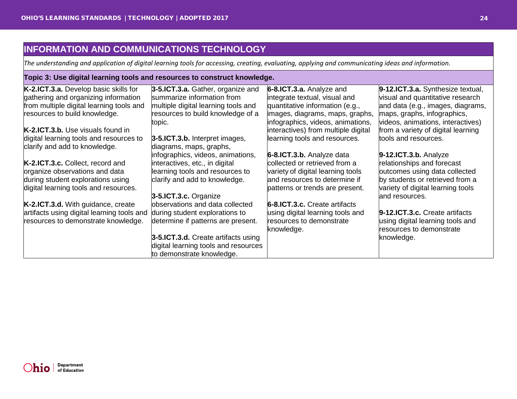## <span id="page-23-0"></span>**INFORMATION AND COMMUNICATIONS TECHNOLOGY**

*The understanding and application of digital learning tools for accessing, creating, evaluating, applying and communicating ideas and information.*

#### **Topic 3: Use digital learning tools and resources to construct knowledge.**

| K-2.ICT.3.a. Develop basic skills for<br>gathering and organizing information | 3-5.ICT.3.a. Gather, organize and<br>summarize information from                                          | 6-8.ICT.3.a. Analyze and<br>integrate textual, visual and            | 9-12.ICT.3.a. Synthesize textual,<br>visual and quantitative research |
|-------------------------------------------------------------------------------|----------------------------------------------------------------------------------------------------------|----------------------------------------------------------------------|-----------------------------------------------------------------------|
| from multiple digital learning tools and                                      | multiple digital learning tools and                                                                      | quantitative information (e.g.,                                      | and data (e.g., images, diagrams,                                     |
| resources to build knowledge.                                                 | resources to build knowledge of a<br>topic.                                                              | images, diagrams, maps, graphs,<br>infographics, videos, animations, | maps, graphs, infographics,<br>videos, animations, interactives)      |
| <b>K-2.ICT.3.b.</b> Use visuals found in                                      |                                                                                                          | interactives) from multiple digital                                  | from a variety of digital learning                                    |
| digital learning tools and resources to<br>clarify and add to knowledge.      | 3-5.ICT.3.b. Interpret images,<br>diagrams, maps, graphs,                                                | learning tools and resources.                                        | tools and resources.                                                  |
|                                                                               | infographics, videos, animations,                                                                        | 6-8.ICT.3.b. Analyze data                                            | $9-12$ .ICT.3.b. Analyze                                              |
| K-2.ICT.3.c. Collect, record and                                              | interactives, etc., in digital                                                                           | collected or retrieved from a                                        | relationships and forecast                                            |
| organize observations and data                                                | learning tools and resources to                                                                          | variety of digital learning tools                                    | outcomes using data collected                                         |
| during student explorations using                                             | clarify and add to knowledge.                                                                            | and resources to determine if                                        | by students or retrieved from a                                       |
| digital learning tools and resources.                                         |                                                                                                          | patterns or trends are present.                                      | variety of digital learning tools                                     |
|                                                                               | 3-5.ICT.3.c. Organize                                                                                    |                                                                      | and resources.                                                        |
| K-2.ICT.3.d. With guidance, create                                            | observations and data collected                                                                          | 6-8.ICT.3.c. Create artifacts                                        |                                                                       |
| artifacts using digital learning tools and                                    | during student explorations to                                                                           | using digital learning tools and                                     | 9-12.ICT.3.c. Create artifacts                                        |
| resources to demonstrate knowledge.                                           | determine if patterns are present.                                                                       | resources to demonstrate<br>knowledge.                               | using digital learning tools and<br>resources to demonstrate          |
|                                                                               | 3-5.ICT.3.d. Create artifacts using<br>digital learning tools and resources<br>to demonstrate knowledge. |                                                                      | knowledge.                                                            |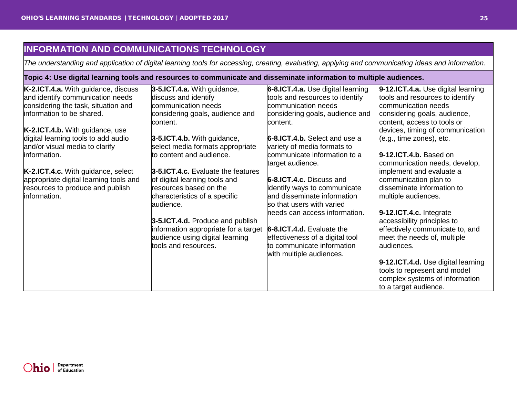## <span id="page-24-0"></span>**INFORMATION AND COMMUNICATIONS TECHNOLOGY**

*The understanding and application of digital learning tools for accessing, creating, evaluating, applying and communicating ideas and information.*

| Topic 4: Use digital learning tools and resources to communicate and disseminate information to multiple audiences. |                                             |                                                          |                                                                    |  |
|---------------------------------------------------------------------------------------------------------------------|---------------------------------------------|----------------------------------------------------------|--------------------------------------------------------------------|--|
| K-2.ICT.4.a. With guidance, discuss                                                                                 | 3-5.ICT.4.a. With guidance,                 | 6-8.ICT.4.a. Use digital learning                        | 9-12.ICT.4.a. Use digital learning                                 |  |
| and identify communication needs                                                                                    | discuss and identify                        | tools and resources to identify                          | tools and resources to identify                                    |  |
| considering the task, situation and                                                                                 | communication needs                         | communication needs                                      | communication needs                                                |  |
| information to be shared.                                                                                           | considering goals, audience and<br>content. | considering goals, audience and<br>content.              | considering goals, audience,<br>content, access to tools or        |  |
| K-2.ICT.4.b. With guidance, use                                                                                     |                                             |                                                          | devices, timing of communication                                   |  |
| digital learning tools to add audio                                                                                 | 3-5.ICT.4.b. With guidance,                 | 6-8.ICT.4.b. Select and use a                            | (e.g., time zones), etc.                                           |  |
| and/or visual media to clarify                                                                                      | select media formats appropriate            | variety of media formats to                              |                                                                    |  |
| information.                                                                                                        | to content and audience.                    | communicate information to a<br>target audience.         | $9-12$ .ICT.4.b. Based on<br>communication needs, develop,         |  |
| K-2.ICT.4.c. With guidance, select                                                                                  | 3-5.ICT.4.c. Evaluate the features          |                                                          | implement and evaluate a                                           |  |
| appropriate digital learning tools and                                                                              | of digital learning tools and               | 6-8.ICT.4.c. Discuss and                                 | communication plan to                                              |  |
| resources to produce and publish                                                                                    | resources based on the                      | identify ways to communicate                             | disseminate information to                                         |  |
| information.                                                                                                        | characteristics of a specific<br>audience.  | and disseminate information<br>so that users with varied | multiple audiences.                                                |  |
|                                                                                                                     |                                             | needs can access information.                            | 9-12.ICT.4.c. Integrate                                            |  |
|                                                                                                                     | 3-5.ICT.4.d. Produce and publish            |                                                          | accessibility principles to                                        |  |
|                                                                                                                     | information appropriate for a target        | 6-8.ICT.4.d. Evaluate the                                | effectively communicate to, and                                    |  |
|                                                                                                                     | audience using digital learning             | effectiveness of a digital tool                          | meet the needs of, multiple                                        |  |
|                                                                                                                     | tools and resources.                        | to communicate information<br>with multiple audiences.   | audiences.                                                         |  |
|                                                                                                                     |                                             |                                                          | 9-12.ICT.4.d. Use digital learning<br>tools to represent and model |  |
|                                                                                                                     |                                             |                                                          | complex systems of information<br>to a target audience.            |  |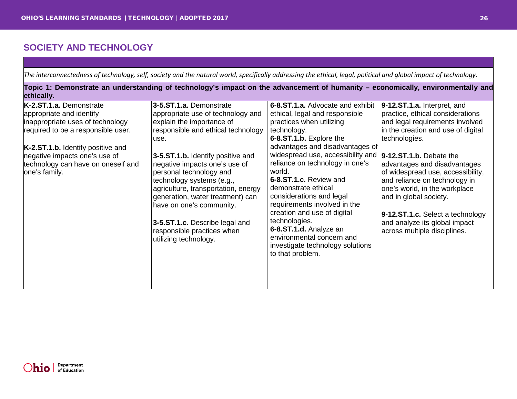<span id="page-25-0"></span>

| The interconnectedness of technology, self, society and the natural world, specifically addressing the ethical, legal, political and global impact of technology. |  |  |  |  |
|-------------------------------------------------------------------------------------------------------------------------------------------------------------------|--|--|--|--|
|                                                                                                                                                                   |  |  |  |  |

**Topic 1: Demonstrate an understanding of technology's impact on the advancement of humanity – economically, environmentally and ethically.**

| K-2.ST.1.a. Demonstrate<br>appropriate and identify<br>inappropriate uses of technology<br>required to be a responsible user.<br>K-2.ST.1.b. Identify positive and<br>negative impacts one's use of<br>technology can have on oneself and<br>one's family. | 3-5.ST.1.a. Demonstrate<br>appropriate use of technology and<br>explain the importance of<br>responsible and ethical technology<br>use.<br>3-5.ST.1.b. Identify positive and<br>negative impacts one's use of<br>personal technology and<br>technology systems (e.g.,<br>agriculture, transportation, energy<br>generation, water treatment) can<br>have on one's community.<br>3-5.ST.1.c. Describe legal and<br>responsible practices when<br>utilizing technology. | 6-8.ST.1.a. Advocate and exhibit<br>ethical, legal and responsible<br>practices when utilizing<br>technology.<br>6-8.ST.1.b. Explore the<br>advantages and disadvantages of<br>widespread use, accessibility and   9-12.ST.1.b. Debate the<br>reliance on technology in one's<br>world.<br>6-8.ST.1.c. Review and<br>demonstrate ethical<br>considerations and legal<br>requirements involved in the<br>creation and use of digital<br>technologies.<br>6-8.ST.1.d. Analyze an<br>environmental concern and<br>investigate technology solutions<br>to that problem. | 9-12.ST.1.a. Interpret, and<br>practice, ethical considerations<br>and legal requirements involved<br>in the creation and use of digital<br>technologies.<br>advantages and disadvantages<br>of widespread use, accessibility,<br>and reliance on technology in<br>one's world, in the workplace<br>and in global society.<br>9-12.ST.1.c. Select a technology<br>and analyze its global impact<br>across multiple disciplines. |
|------------------------------------------------------------------------------------------------------------------------------------------------------------------------------------------------------------------------------------------------------------|-----------------------------------------------------------------------------------------------------------------------------------------------------------------------------------------------------------------------------------------------------------------------------------------------------------------------------------------------------------------------------------------------------------------------------------------------------------------------|---------------------------------------------------------------------------------------------------------------------------------------------------------------------------------------------------------------------------------------------------------------------------------------------------------------------------------------------------------------------------------------------------------------------------------------------------------------------------------------------------------------------------------------------------------------------|---------------------------------------------------------------------------------------------------------------------------------------------------------------------------------------------------------------------------------------------------------------------------------------------------------------------------------------------------------------------------------------------------------------------------------|
|------------------------------------------------------------------------------------------------------------------------------------------------------------------------------------------------------------------------------------------------------------|-----------------------------------------------------------------------------------------------------------------------------------------------------------------------------------------------------------------------------------------------------------------------------------------------------------------------------------------------------------------------------------------------------------------------------------------------------------------------|---------------------------------------------------------------------------------------------------------------------------------------------------------------------------------------------------------------------------------------------------------------------------------------------------------------------------------------------------------------------------------------------------------------------------------------------------------------------------------------------------------------------------------------------------------------------|---------------------------------------------------------------------------------------------------------------------------------------------------------------------------------------------------------------------------------------------------------------------------------------------------------------------------------------------------------------------------------------------------------------------------------|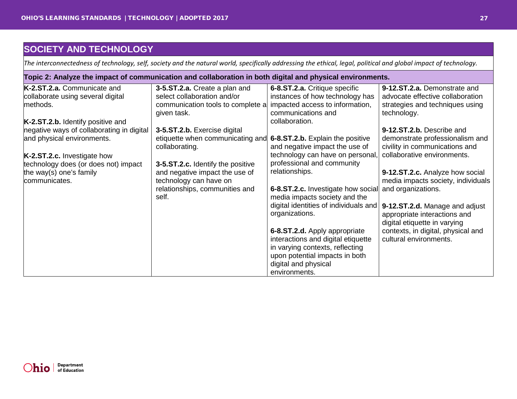<span id="page-26-0"></span>*The interconnectedness of technology, self, society and the natural world, specifically addressing the ethical, legal, political and global impact of technology.*

| Topic 2: Analyze the impact of communication and collaboration in both digital and physical environments. |                                                  |                                                         |                                                                |  |
|-----------------------------------------------------------------------------------------------------------|--------------------------------------------------|---------------------------------------------------------|----------------------------------------------------------------|--|
| K-2.ST.2.a. Communicate and                                                                               | 3-5.ST.2.a. Create a plan and                    | 6-8.ST.2.a. Critique specific                           | 9-12.ST.2.a. Demonstrate and                                   |  |
| collaborate using several digital                                                                         | select collaboration and/or                      | instances of how technology has                         | advocate effective collaboration                               |  |
| methods.                                                                                                  | communication tools to complete a<br>given task. | impacted access to information,<br>communications and   | strategies and techniques using<br>technology.                 |  |
| K-2.ST.2.b. Identify positive and                                                                         |                                                  | collaboration.                                          |                                                                |  |
| hegative ways of collaborating in digital                                                                 | 3-5.ST.2.b. Exercise digital                     |                                                         | 9-12.ST.2.b. Describe and                                      |  |
| and physical environments.                                                                                | etiquette when communicating and                 | 6-8.ST.2.b. Explain the positive                        | demonstrate professionalism and                                |  |
|                                                                                                           | collaborating.                                   | and negative impact the use of                          | civility in communications and                                 |  |
| K-2.ST.2.c. Investigate how                                                                               |                                                  | technology can have on personal,                        | collaborative environments.                                    |  |
| technology does (or does not) impact                                                                      | 3-5.ST.2.c. Identify the positive                | professional and community                              |                                                                |  |
| the way(s) one's family                                                                                   | and negative impact the use of                   | relationships.                                          | 9-12.ST.2.c. Analyze how social                                |  |
| communicates.                                                                                             | technology can have on                           |                                                         | media impacts society, individuals                             |  |
|                                                                                                           | relationships, communities and                   | 6-8.ST.2.c. Investigate how social and organizations.   |                                                                |  |
|                                                                                                           | self.                                            | media impacts society and the                           |                                                                |  |
|                                                                                                           |                                                  | digital identities of individuals and<br>organizations. | 9-12.ST.2.d. Manage and adjust<br>appropriate interactions and |  |
|                                                                                                           |                                                  |                                                         | digital etiquette in varying                                   |  |
|                                                                                                           |                                                  | 6-8.ST.2.d. Apply appropriate                           | contexts, in digital, physical and                             |  |
|                                                                                                           |                                                  | interactions and digital etiquette                      | cultural environments.                                         |  |
|                                                                                                           |                                                  | in varying contexts, reflecting                         |                                                                |  |
|                                                                                                           |                                                  | upon potential impacts in both                          |                                                                |  |
|                                                                                                           |                                                  | digital and physical                                    |                                                                |  |
|                                                                                                           |                                                  | environments.                                           |                                                                |  |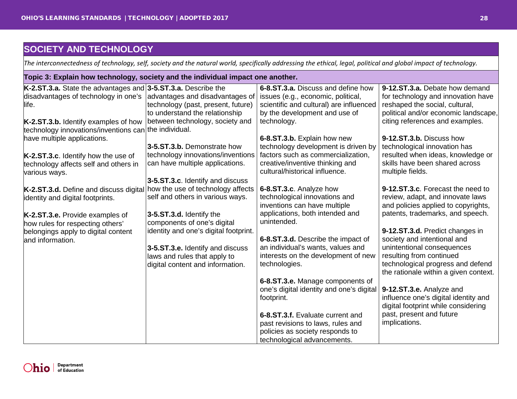<span id="page-27-0"></span>*The interconnectedness of technology, self, society and the natural world, specifically addressing the ethical, legal, political and global impact of technology.*

| Topic 3: Explain how technology, society and the individual impact one another.                                                                    |                                                                                                           |                                                                                                                                                                     |                                                                                                                                                                                   |  |
|----------------------------------------------------------------------------------------------------------------------------------------------------|-----------------------------------------------------------------------------------------------------------|---------------------------------------------------------------------------------------------------------------------------------------------------------------------|-----------------------------------------------------------------------------------------------------------------------------------------------------------------------------------|--|
| K-2.ST.3.a. State the advantages and $3$ -5.ST.3.a. Describe the<br>disadvantages of technology in one's  advantages and disadvantages of<br>life. | technology (past, present, future)<br>to understand the relationship<br>between technology, society and   | 6-8.ST.3.a. Discuss and define how<br>issues (e.g., economic, political,<br>scientific and cultural) are influenced<br>by the development and use of<br>technology. | 9-12.ST.3.a. Debate how demand<br>for technology and innovation have<br>reshaped the social, cultural,<br>political and/or economic landscape,<br>citing references and examples. |  |
| K-2.ST.3.b. Identify examples of how<br>technology innovations/inventions can the individual.<br>have multiple applications.                       | 3-5.ST.3.b. Demonstrate how                                                                               | 6-8.ST.3.b. Explain how new                                                                                                                                         | 9-12.ST.3.b. Discuss how                                                                                                                                                          |  |
| K-2.ST.3.c. Identify how the use of<br>technology affects self and others in<br>various ways.                                                      | technology innovations/inventions<br>can have multiple applications.                                      | technology development is driven by<br>factors such as commercialization,<br>creative/inventive thinking and<br>cultural/historical influence.                      | technological innovation has<br>resulted when ideas, knowledge or<br>skills have been shared across<br>multiple fields.                                                           |  |
| K-2.ST.3.d. Define and discuss digital<br>identity and digital footprints.                                                                         | 3-5.ST.3.c. Identify and discuss<br>how the use of technology affects<br>self and others in various ways. | 6-8.ST.3.c. Analyze how<br>technological innovations and<br>inventions can have multiple                                                                            | 9-12.ST.3.c. Forecast the need to<br>review, adapt, and innovate laws<br>and policies applied to copyrights,                                                                      |  |
| K-2.ST.3.e. Provide examples of<br>how rules for respecting others'<br>belongings apply to digital content<br>and information.                     | 3-5.ST.3.d. Identify the<br>components of one's digital<br>identity and one's digital footprint.          | applications, both intended and<br>unintended.<br>6-8.ST.3.d. Describe the impact of                                                                                | patents, trademarks, and speech.<br>9-12.ST.3.d. Predict changes in<br>society and intentional and                                                                                |  |
|                                                                                                                                                    | 3-5.ST.3.e. Identify and discuss<br>laws and rules that apply to<br>digital content and information.      | an individual's wants, values and<br>interests on the development of new<br>technologies.                                                                           | unintentional consequences<br>resulting from continued<br>technological progress and defend<br>the rationale within a given context.                                              |  |
|                                                                                                                                                    |                                                                                                           | 6-8.ST.3.e. Manage components of<br>one's digital identity and one's digital<br>footprint.                                                                          | 9-12.ST.3.e. Analyze and<br>influence one's digital identity and<br>digital footprint while considering                                                                           |  |
|                                                                                                                                                    |                                                                                                           | 6-8.ST.3.f. Evaluate current and<br>past revisions to laws, rules and<br>policies as society responds to<br>technological advancements.                             | past, present and future<br>implications.                                                                                                                                         |  |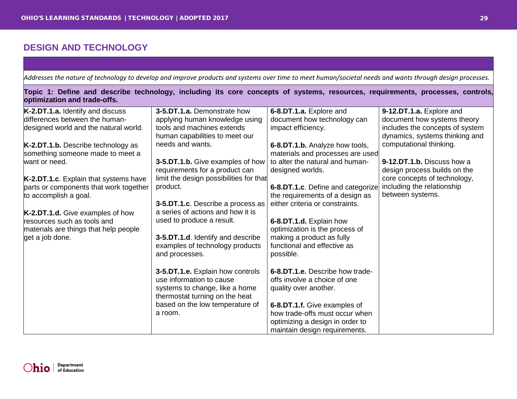<span id="page-28-0"></span>*Addresses the nature of technology to develop and improve products and systems over time to meet human/societal needs and wants through design processes.*

| Topic 1: Define and describe technology, including its core concepts of systems, resources, requirements, processes, controls,<br>optimization and trade-offs. |                                                   |                                                          |                                 |  |
|----------------------------------------------------------------------------------------------------------------------------------------------------------------|---------------------------------------------------|----------------------------------------------------------|---------------------------------|--|
| K-2.DT.1.a. Identify and discuss                                                                                                                               | 3-5.DT.1.a. Demonstrate how                       | 6-8.DT.1.a. Explore and                                  | 9-12.DT.1.a. Explore and        |  |
| differences between the human-                                                                                                                                 | applying human knowledge using                    | document how technology can                              | document how systems theory     |  |
| designed world and the natural world.                                                                                                                          | tools and machines extends                        | impact efficiency.                                       | includes the concepts of system |  |
|                                                                                                                                                                | human capabilities to meet our                    |                                                          | dynamics, systems thinking and  |  |
| K-2.DT.1.b. Describe technology as                                                                                                                             | needs and wants.                                  | 6-8.DT.1.b. Analyze how tools,                           | computational thinking.         |  |
| something someone made to meet a                                                                                                                               |                                                   | materials and processes are used                         |                                 |  |
| want or need.                                                                                                                                                  | 3-5.DT.1.b. Give examples of how                  | to alter the natural and human-                          | 9-12.DT.1.b. Discuss how a      |  |
|                                                                                                                                                                | requirements for a product can                    | designed worlds.                                         | design process builds on the    |  |
| K-2.DT.1.c. Explain that systems have                                                                                                                          | limit the design possibilities for that           |                                                          | core concepts of technology,    |  |
| parts or components that work together                                                                                                                         | product.                                          | 6-8.DT.1.c. Define and categorize                        | including the relationship      |  |
| to accomplish a goal.                                                                                                                                          |                                                   | the requirements of a design as                          | between systems.                |  |
|                                                                                                                                                                | 3-5.DT.1.c. Describe a process as                 | either criteria or constraints.                          |                                 |  |
| K-2.DT.1.d. Give examples of how                                                                                                                               | a series of actions and how it is                 |                                                          |                                 |  |
| resources such as tools and                                                                                                                                    | used to produce a result.                         | 6-8.DT.1.d. Explain how                                  |                                 |  |
| materials are things that help people                                                                                                                          |                                                   | optimization is the process of                           |                                 |  |
| get a job done.                                                                                                                                                | 3-5.DT.1.d. Identify and describe                 | making a product as fully<br>functional and effective as |                                 |  |
|                                                                                                                                                                | examples of technology products<br>and processes. | possible.                                                |                                 |  |
|                                                                                                                                                                |                                                   |                                                          |                                 |  |
|                                                                                                                                                                | 3-5.DT.1.e. Explain how controls                  | 6-8.DT.1.e. Describe how trade-                          |                                 |  |
|                                                                                                                                                                | use information to cause                          | offs involve a choice of one                             |                                 |  |
|                                                                                                                                                                | systems to change, like a home                    | quality over another.                                    |                                 |  |
|                                                                                                                                                                | thermostat turning on the heat                    |                                                          |                                 |  |
|                                                                                                                                                                | based on the low temperature of                   | 6-8.DT.1.f. Give examples of                             |                                 |  |
|                                                                                                                                                                | a room.                                           | how trade-offs must occur when                           |                                 |  |
|                                                                                                                                                                |                                                   | optimizing a design in order to                          |                                 |  |
|                                                                                                                                                                |                                                   | maintain design requirements.                            |                                 |  |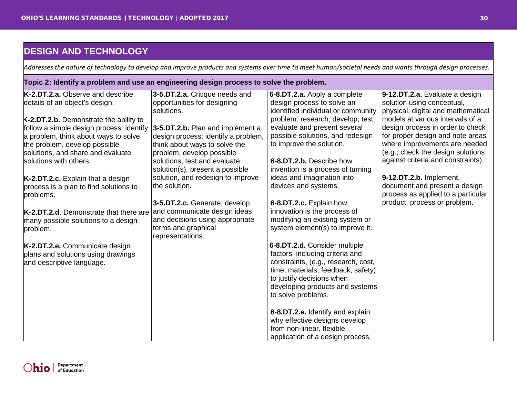<span id="page-29-0"></span>*Addresses the nature of technology to develop and improve products and systems over time to meet human/societal needs and wants through design processes.*

#### **Topic 2: Identify a problem and use an engineering design process to solve the problem.**

| K-2.DT.2.a. Observe and describe              | 3-5.DT.2.a. Critique needs and      | 6-8.DT.2.a. Apply a complete        | 9-12.DT.2.a. Evaluate a design     |
|-----------------------------------------------|-------------------------------------|-------------------------------------|------------------------------------|
| details of an object's design.                | opportunities for designing         | design process to solve an          | solution using conceptual,         |
|                                               | solutions.                          | identified individual or community  | physical, digital and mathematical |
| K-2.DT.2.b. Demonstrate the ability to        |                                     | problem: research, develop, test,   | models at various intervals of a   |
| follow a simple design process: identify      | 3-5.DT.2.b. Plan and implement a    | evaluate and present several        | design process in order to check   |
| a problem, think about ways to solve          | design process: identify a problem, | possible solutions, and redesign    | for proper design and note areas   |
| the problem, develop possible                 | think about ways to solve the       | to improve the solution.            | where improvements are needed      |
| solutions, and share and evaluate             | problem, develop possible           |                                     | (e.g., check the design solutions  |
| solutions with others.                        | solutions, test and evaluate        | 6-8.DT.2.b. Describe how            | against criteria and constraints). |
|                                               | solution(s), present a possible     | invention is a process of turning   |                                    |
| K-2.DT.2.c. Explain that a design             | solution, and redesign to improve   | ideas and imagination into          | 9-12.DT.2.b. Implement,            |
| process is a plan to find solutions to        | the solution.                       | devices and systems.                | document and present a design      |
| problems.                                     |                                     |                                     | process as applied to a particular |
|                                               | 3-5.DT.2.c. Generate, develop       | 6-8.DT.2.c. Explain how             | product, process or problem.       |
| <b>K-2.DT.2.d.</b> Demonstrate that there are | and communicate design ideas        | innovation is the process of        |                                    |
| many possible solutions to a design           | and decisions using appropriate     | modifying an existing system or     |                                    |
| problem.                                      | terms and graphical                 | system element(s) to improve it.    |                                    |
|                                               | representations.                    |                                     |                                    |
| K-2.DT.2.e. Communicate design                |                                     | 6-8.DT.2.d. Consider multiple       |                                    |
| plans and solutions using drawings            |                                     | factors, including criteria and     |                                    |
| and descriptive language.                     |                                     | constraints, (e.g., research, cost, |                                    |
|                                               |                                     | time, materials, feedback, safety)  |                                    |
|                                               |                                     | to justify decisions when           |                                    |
|                                               |                                     | developing products and systems     |                                    |
|                                               |                                     | to solve problems.                  |                                    |
|                                               |                                     |                                     |                                    |
|                                               |                                     | 6-8.DT.2.e. Identify and explain    |                                    |
|                                               |                                     | why effective designs develop       |                                    |
|                                               |                                     | from non-linear, flexible           |                                    |
|                                               |                                     | application of a design process.    |                                    |

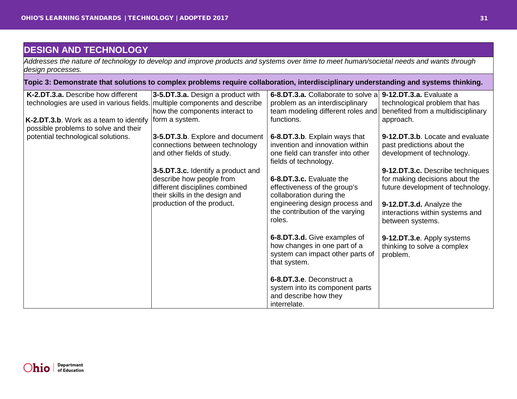<span id="page-30-0"></span>*Addresses the nature of technology to develop and improve products and systems over time to meet human/societal needs and wants through design processes.*

| Topic 3: Demonstrate that solutions to complex problems require collaboration, interdisciplinary understanding and systems thinking. |                                                                                              |                                                                                                                  |                                                                                 |  |  |
|--------------------------------------------------------------------------------------------------------------------------------------|----------------------------------------------------------------------------------------------|------------------------------------------------------------------------------------------------------------------|---------------------------------------------------------------------------------|--|--|
| K-2.DT.3.a. Describe how different<br>technologies are used in various fields. multiple components and describe                      | 3-5.DT.3.a. Design a product with                                                            | 6-8.DT.3.a. Collaborate to solve a 9-12.DT.3.a. Evaluate a<br>problem as an interdisciplinary                    | technological problem that has                                                  |  |  |
|                                                                                                                                      | how the components interact to                                                               | team modeling different roles and                                                                                | benefited from a multidisciplinary                                              |  |  |
| K-2.DT.3.b. Work as a team to identify<br>possible problems to solve and their                                                       | form a system.                                                                               | functions.                                                                                                       | approach.                                                                       |  |  |
| potential technological solutions.                                                                                                   | 3-5.DT.3.b. Explore and document                                                             | 6-8.DT.3.b. Explain ways that                                                                                    | 9-12.DT.3.b. Locate and evaluate                                                |  |  |
|                                                                                                                                      | connections between technology<br>and other fields of study.                                 | invention and innovation within<br>one field can transfer into other<br>fields of technology.                    | past predictions about the<br>development of technology.                        |  |  |
|                                                                                                                                      | 3-5.DT.3.c. Identify a product and                                                           |                                                                                                                  | 9-12.DT.3.c. Describe techniques                                                |  |  |
|                                                                                                                                      | describe how people from<br>different disciplines combined<br>their skills in the design and | 6-8.DT.3.c. Evaluate the<br>effectiveness of the group's<br>collaboration during the                             | for making decisions about the<br>future development of technology.             |  |  |
|                                                                                                                                      | production of the product.                                                                   | engineering design process and<br>the contribution of the varying<br>roles.                                      | 9-12.DT.3.d. Analyze the<br>interactions within systems and<br>between systems. |  |  |
|                                                                                                                                      |                                                                                              | 6-8.DT.3.d. Give examples of<br>how changes in one part of a<br>system can impact other parts of<br>that system. | 9-12.DT.3.e. Apply systems<br>thinking to solve a complex<br>problem.           |  |  |
|                                                                                                                                      |                                                                                              | 6-8.DT.3.e. Deconstruct a<br>system into its component parts<br>and describe how they<br>interrelate.            |                                                                                 |  |  |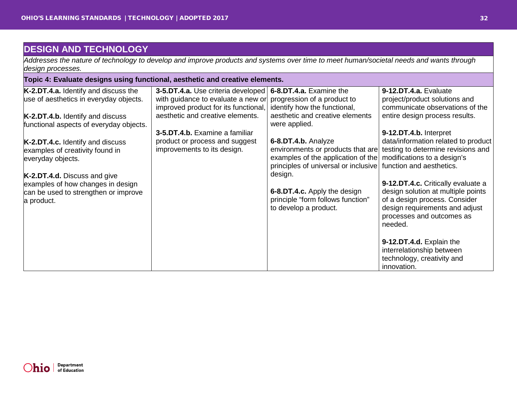<span id="page-31-0"></span>*Addresses the nature of technology to develop and improve products and systems over time to meet human/societal needs and wants through design processes.*

| Topic 4: Evaluate designs using functional, aesthetic and creative elements. |                                                                |                                                                |                                                                      |  |  |
|------------------------------------------------------------------------------|----------------------------------------------------------------|----------------------------------------------------------------|----------------------------------------------------------------------|--|--|
| K-2.DT.4.a. Identify and discuss the                                         | 3-5.DT.4.a. Use criteria developed   6-8.DT.4.a. Examine the   |                                                                | 9-12.DT.4.a. Evaluate                                                |  |  |
| use of aesthetics in everyday objects.                                       | with guidance to evaluate a new or progression of a product to |                                                                | project/product solutions and                                        |  |  |
|                                                                              | improved product for its functional,                           | identify how the functional,                                   | communicate observations of the                                      |  |  |
| K-2.DT.4.b. Identify and discuss                                             | aesthetic and creative elements.                               | aesthetic and creative elements                                | entire design process results.                                       |  |  |
| functional aspects of everyday objects.                                      |                                                                | were applied.                                                  |                                                                      |  |  |
|                                                                              | 3-5.DT.4.b. Examine a familiar                                 |                                                                | 9-12.DT.4.b. Interpret<br>data/information related to product        |  |  |
| K-2.DT.4.c. Identify and discuss<br>examples of creativity found in          | product or process and suggest<br>improvements to its design.  | 6-8.DT.4.b. Analyze                                            | environments or products that are testing to determine revisions and |  |  |
| everyday objects.                                                            |                                                                | examples of the application of the modifications to a design's |                                                                      |  |  |
|                                                                              |                                                                | principles of universal or inclusive                           | function and aesthetics.                                             |  |  |
| K-2.DT.4.d. Discuss and give                                                 |                                                                | design.                                                        |                                                                      |  |  |
| examples of how changes in design                                            |                                                                |                                                                | 9-12.DT.4.c. Critically evaluate a                                   |  |  |
| can be used to strengthen or improve                                         |                                                                | 6-8.DT.4.c. Apply the design                                   | design solution at multiple points                                   |  |  |
| a product.                                                                   |                                                                | principle "form follows function"                              | of a design process. Consider                                        |  |  |
|                                                                              |                                                                | to develop a product.                                          | design requirements and adjust                                       |  |  |
|                                                                              |                                                                |                                                                | processes and outcomes as<br>needed.                                 |  |  |
|                                                                              |                                                                |                                                                |                                                                      |  |  |
|                                                                              |                                                                |                                                                | 9-12.DT.4.d. Explain the                                             |  |  |
|                                                                              |                                                                |                                                                | interrelationship between                                            |  |  |
|                                                                              |                                                                |                                                                | technology, creativity and                                           |  |  |
|                                                                              |                                                                |                                                                | innovation.                                                          |  |  |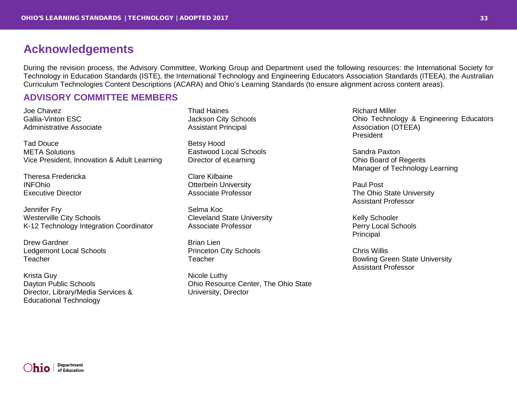## <span id="page-32-0"></span>**Acknowledgements**

During the revision process, the Advisory Committee, Working Group and Department used the following resources: the International Society for Technology in Education Standards (ISTE), the International Technology and Engineering Educators Association Standards (ITEEA), the Australian Curriculum Technologies Content Descriptions (ACARA) and Ohio's Learning Standards (to ensure alignment across content areas).

## <span id="page-32-1"></span>**ADVISORY COMMITTEE MEMBERS**

Joe Chavez Gallia-Vinton ESC Administrative Associate

Tad Douce META Solutions Vice President, Innovation & Adult Learning

Theresa Fredericka INFOhio Executive Director

Jennifer Fry Westerville City Schools K-12 Technology Integration Coordinator

Drew Gardner Ledgemont Local Schools Teacher

Krista Guy Dayton Public Schools Director, Library/Media Services & Educational Technology

Thad Haines Jackson City Schools Assistant Principal

Betsy Hood Eastwood Local Schools Director of eLearning

Clare Kilbaine Otterbein University Associate Professor

Selma Koc Cleveland State University Associate Professor

Brian Lien Princeton City Schools Teacher

Nicole Luthy Ohio Resource Center, The Ohio State University, Director

Richard Miller Ohio Technology & Engineering Educators Association (OTEEA) President

Sandra Paxton Ohio Board of Regents Manager of Technology Learning

Paul Post The Ohio State University Assistant Professor

Kelly Schooler Perry Local Schools Principal

Chris Willis Bowling Green State University Assistant Professor

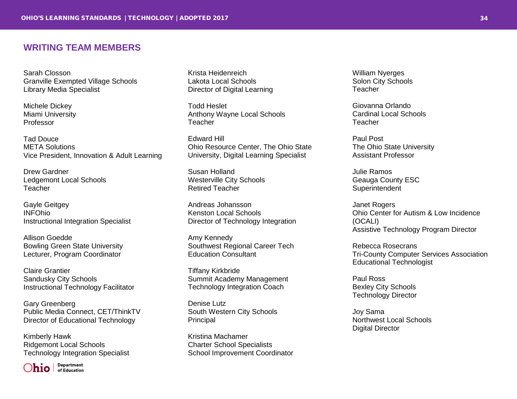## <span id="page-33-0"></span>**WRITING TEAM MEMBERS**

Sarah Closson Granville Exempted Village Schools Library Media Specialist

Michele Dickey Miami University Professor

Tad Douce META Solutions Vice President, Innovation & Adult Learning

Drew Gardner Ledgemont Local Schools Teacher

Gayle Geitgey INFOhio Instructional Integration Specialist

Allison Goedde Bowling Green State University Lecturer, Program Coordinator

Claire Grantier Sandusky City Schools Instructional Technology Facilitator

Gary Greenberg Public Media Connect, CET/ThinkTV Director of Educational Technology

Kimberly Hawk Ridgemont Local Schools Technology Integration Specialist

Department  $\sum_{\text{infinite}}$ 

Krista Heidenreich Lakota Local Schools Director of Digital Learning

Todd Heslet Anthony Wayne Local Schools **Teacher** 

Edward Hill Ohio Resource Center, The Ohio State University, Digital Learning Specialist

Susan Holland Westerville City Schools Retired Teacher

Andreas Johansson Kenston Local Schools Director of Technology Integration

Amy Kennedy Southwest Regional Career Tech Education Consultant

Tiffany Kirkbride Summit Academy Management Technology Integration Coach

Denise Lutz South Western City Schools Principal

Kristina Machamer Charter School Specialists School Improvement Coordinator William Nyerges Solon City Schools **Teacher** 

Giovanna Orlando Cardinal Local Schools **Teacher** 

Paul Post The Ohio State University Assistant Professor

Julie Ramos Geauga County ESC **Superintendent** 

Janet Rogers Ohio Center for Autism & Low Incidence (OCALI) Assistive Technology Program Director

Rebecca Rosecrans Tri-County Computer Services Association Educational Technologist

Paul Ross Bexley City Schools Technology Director

Joy Sama Northwest Local Schools Digital Director